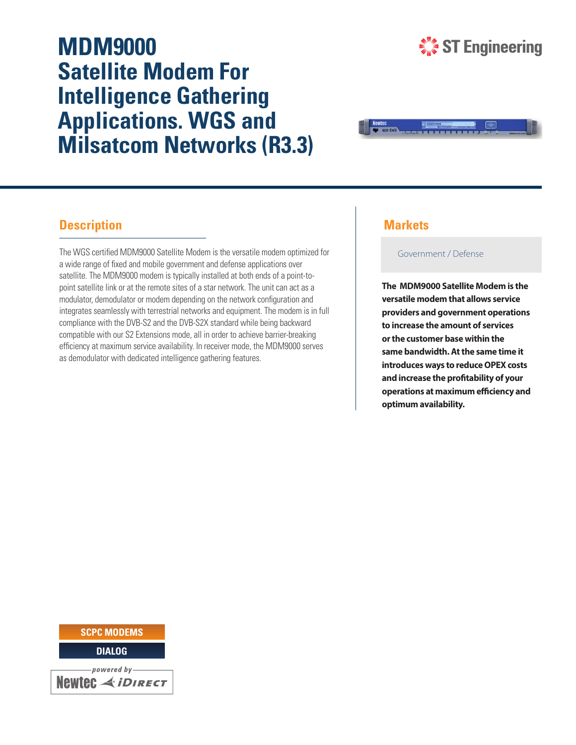# **MDM9000 Satellite Modem For Intelligence Gathering Applications. WGS and Milsatcom Networks (R3.3)**





## **Description**

The WGS certified MDM9000 Satellite Modem is the versatile modem optimized for a wide range of fixed and mobile government and defense applications over satellite. The MDM9000 modem is typically installed at both ends of a point-topoint satellite link or at the remote sites of a star network. The unit can act as a modulator, demodulator or modem depending on the network configuration and integrates seamlessly with terrestrial networks and equipment. The modem is in full compliance with the DVB-S2 and the DVB-S2X standard while being backward compatible with our S2 Extensions mode, all in order to achieve barrier-breaking efficiency at maximum service availability. In receiver mode, the MDM9000 serves as demodulator with dedicated intelligence gathering features.

## **Markets**

Government / Defense

**The MDM9000 Satellite Modem is the versatile modem that allows service providers and government operations to increase the amount of services or the customer base within the same bandwidth. At the same time it introduces ways to reduce OPEX costs**  and increase the profitability of your **operations at maximum efficiency and optimum availability.**

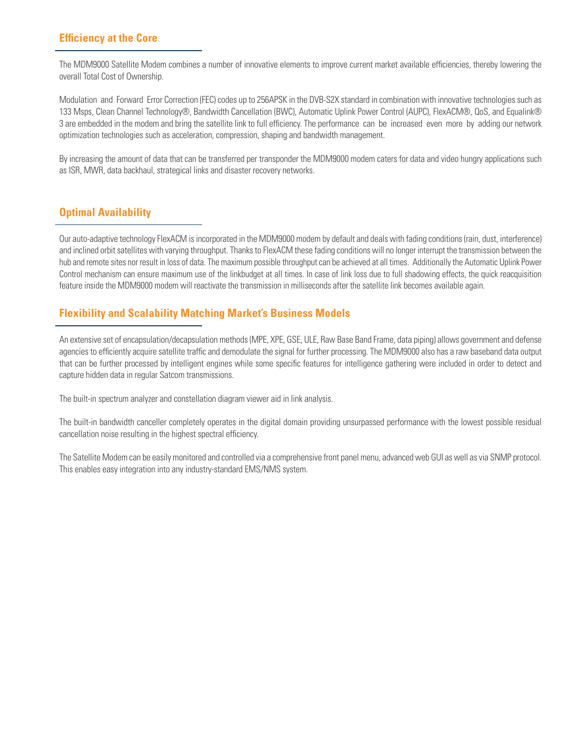## **Efficiency at the Core**

The MDM9000 Satellite Modem combines a number of innovative elements to improve current market available efficiencies, thereby lowering the overall Total Cost of Ownership.

Modulation and Forward Error Correction (FEC) codes up to 256APSK in the DVB-S2X standard in combination with innovative technologies such as 133 Msps, Clean Channel Technology®, Bandwidth Cancellation (BWC), Automatic Uplink Power Control (AUPC), FlexACM®, QoS, and Equalink® 3 are embedded in the modem and bring the satellite link to full efficiency. The performance can be increased even more by adding our network optimization technologies such as acceleration, compression, shaping and bandwidth management.

By increasing the amount of data that can be transferred per transponder the MDM9000 modem caters for data and video hungry applications such as ISR, MWR, data backhaul, strategical links and disaster recovery networks.

## **Optimal Availability**

Our auto-adaptive technology FlexACM is incorporated in the MDM9000 modem by default and deals with fading conditions (rain, dust, interference) and inclined orbit satellites with varying throughput. Thanks to FlexACM these fading conditions will no longer interrupt the transmission between the hub and remote sites nor result in loss of data. The maximum possible throughput can be achieved at all times. Additionally the Automatic Uplink Power Control mechanism can ensure maximum use of the linkbudget at all times. In case of link loss due to full shadowing effects, the quick reacquisition feature inside the MDM9000 modem will reactivate the transmission in milliseconds after the satellite link becomes available again.

## **Flexibility and Scalability Matching Market's Business Models**

An extensive set of encapsulation/decapsulation methods (MPE, XPE, GSE, ULE, Raw Base Band Frame, data piping) allows government and defense agencies to efficiently acquire satellite traffic and demodulate the signal for further processing. The MDM9000 also has a raw baseband data output that can be further processed by intelligent engines while some specific features for intelligence gathering were included in order to detect and capture hidden data in regular Satcom transmissions.

The built-in spectrum analyzer and constellation diagram viewer aid in link analysis.

The built-in bandwidth canceller completely operates in the digital domain providing unsurpassed performance with the lowest possible residual cancellation noise resulting in the highest spectral efficiency.

The Satellite Modem can be easily monitored and controlled via a comprehensive front panel menu, advanced web GUI as well as via SNMP protocol. This enables easy integration into any industry-standard EMS/NMS system.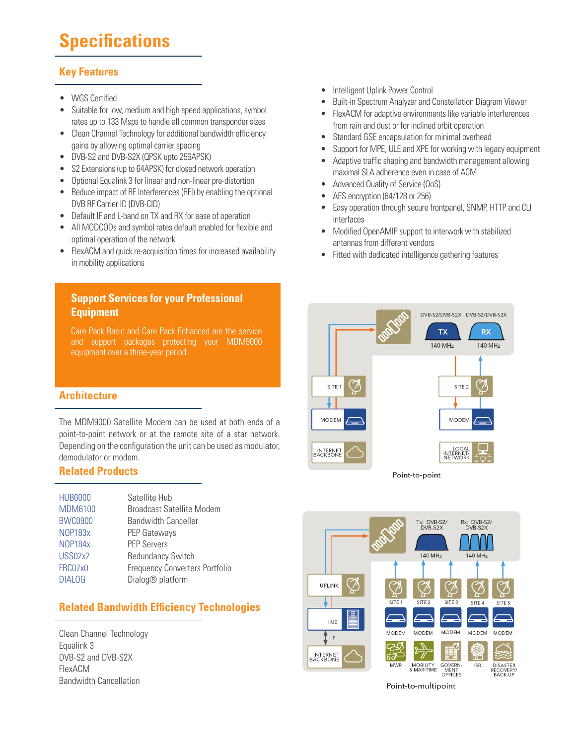# **Specifications**

## **Key Features**

- WGS Certified
- Suitable for low, medium and high speed applications, symbol rates up to 133 Msps to handle all common transponder sizes
- Clean Channel Technology for additional bandwidth efficiency gains by allowing optimal carrier spacing
- DVB-S2 and DVB-S2X (QPSK upto 256APSK)
- S2 Extensions (up to 64APSK) for closed network operation
- Optional Equalink 3 for linear and non-linear pre-distortion
- Reduce impact of RF Interferences (RFI) by enabling the optional DVB RF Carrier ID (DVB-CID)
- Default IF and L-band on TX and RX for ease of operation
- All MODCODs and symbol rates default enabled for flexible and optimal operation of the network
- FlexACM and quick re-acquisition times for increased availability in mobility applications

## **Support Services for your Professional Equipment**

Care Pack Basic and Care Pack Enhanced are the service and support packages protecting your MDM9000 equipment over a three-year period.

## **Architecture**

The MDM9000 Satellite Modem can be used at both ends of a point-to-point network or at the remote site of a star network. Depending on the configuration the unit can be used as modulator, demodulator or modem.

## **Related Products**

| <b>HUB6000</b> | Satellite Hub                         |
|----------------|---------------------------------------|
| <b>MDM6100</b> | <b>Broadcast Satellite Modem</b>      |
| <b>BWC0900</b> | <b>Bandwidth Canceller</b>            |
| <b>NOP183x</b> | <b>PEP Gateways</b>                   |
| <b>NOP184x</b> | <b>PEP Servers</b>                    |
| USS02x2        | <b>Redundancy Switch</b>              |
| FRC07x0        | <b>Frequency Converters Portfolio</b> |
| <b>DIALOG</b>  | Dialog <sup>®</sup> platform          |

## **Related Bandwidth Efficiency Technologies**

Clean Channel Technology Equalink 3 DVB-S2 and DVB-S2X FlexACM Bandwidth Cancellation

- Intelligent Uplink Power Control
- Built-in Spectrum Analyzer and Constellation Diagram Viewer
- FlexACM for adaptive environments like variable interferences from rain and dust or for inclined orbit operation
- Standard GSE encapsulation for minimal overhead
- Support for MPE, ULE and XPE for working with legacy equipment
- Adaptive traffic shaping and bandwidth management allowing maximal SLA adherence even in case of ACM
- Advanced Quality of Service (QoS)
- AES encryption (64/128 or 256)
- Easy operation through secure frontpanel, SNMP, HTTP and CLI interfaces
- Modified OpenAMIP support to interwork with stabilized antennas from different vendors
- Fitted with dedicated intelligence gathering features





Point-to-multipoint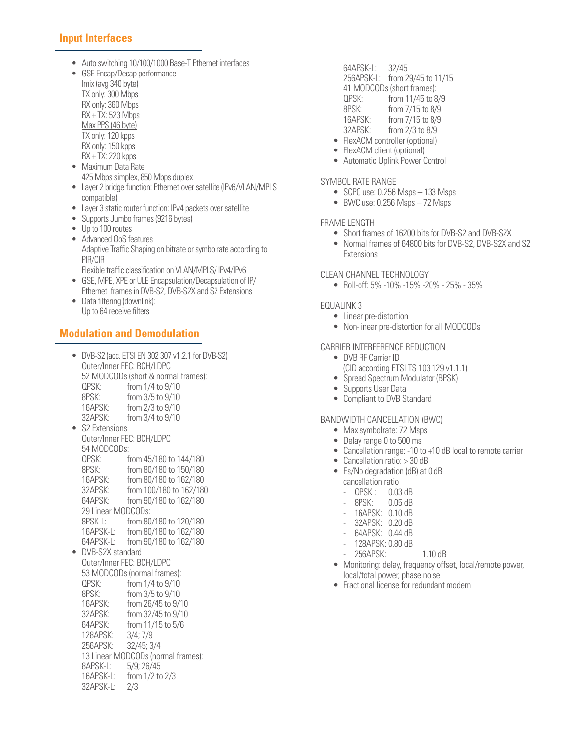## **Input Interfaces**

- Auto switching 10/100/1000 Base-T Ethernet interfaces
- GSE Encap/Decap performance
	- Imix (avg 340 byte) TX only: 300 Mbps RX only: 360 Mbps RX + TX: 523 Mbps Max PPS (46 byte) TX only: 120 kpps RX only: 150 kpps RX + TX: 220 kpps
- Maximum Data Rate 425 Mbps simplex, 850 Mbps duplex
- Layer 2 bridge function: Ethernet over satellite (IPv6/VLAN/MPLS) compatible)
- Layer 3 static router function: IPv4 packets over satellite
- Supports Jumbo frames (9216 bytes)
- Up to 100 routes
- Advanced QoS features Adaptive Traffic Shaping on bitrate or symbolrate according to PIR/CIR
	- Flexible traffic classification on VLAN/MPLS/ IPv4/IPv6
- GSE, MPE, XPE or ULE Encapsulation/Decapsulation of IP/ Ethernet frames in DVB-S2, DVB-S2X and S2 Extensions
- Data filtering (downlink): Up to 64 receive filters

## **Modulation and Demodulation**

• DVB-S2 (acc. ETSI EN 302 307 v1.2.1 for DVB-S2) Outer/Inner FEC: BCH/LDPC 52 MODCODs (short & normal frames):<br>QPSK: from 1/4 to 9/10 from 1/4 to 9/10 8PSK: from 3/5 to 9/10 16APSK: from 2/3 to 9/10<br>32APSK: from 3/4 to 9/10 from 3/4 to 9/10 • S2 Extensions Outer/Inner FEC: BCH/LDPC 54 MODCODs: QPSK: from 45/180 to 144/180 8PSK: from 80/180 to 150/180<br>16APSK: from 80/180 to 162/180 from 80/180 to 162/180 32APSK: from 100/180 to 162/180 from 90/180 to 162/180 29 Linear MODCODs: 8PSK-L: from 80/180 to 120/180 16APSK-L: from 80/180 to 162/180 64APSK-L: from 90/180 to 162/180 • DVB-S2X standard Outer/Inner FEC: BCH/LDPC 53 MODCODs (normal frames): QPSK: from 1/4 to 9/10 8PSK: from 3/5 to 9/10<br>16APSK: from 26/45 to 9/ from 26/45 to 9/10 32APSK: from 32/45 to 9/10 64APSK: from 11/15 to 5/6<br>128APSK: 3/4; 7/9 128APSK: 256APSK: 32/45; 3/4 13 Linear MODCODs (normal frames):<br>8APSK-L: 5/9: 26/45 8APSK-L: 16APSK-L: from 1/2 to 2/3 32APSK-L: 2/3

- 64APSK-L: 32/45 256APSK-L: from 29/45 to 11/15 41 MODCODs (short frames): QPSK: from 11/45 to 8/9 8PSK: from 7/15 to 8/9<br>16APSK: from 7/15 to 8/9 from 7/15 to 8/9 32APSK: from 2/3 to 8/9 • FlexACM controller (optional)
- FlexACM client (optional)
- Automatic Uplink Power Control

#### SYMBOL RATE RANGE

- SCPC use: 0.256 Msps 133 Msps
- BWC use: 0.256 Msps 72 Msps

#### FRAME LENGTH

- Short frames of 16200 bits for DVB-S2 and DVB-S2X
- Normal frames of 64800 bits for DVB-S2, DVB-S2X and S2 Extensions

#### CLEAN CHANNEL TECHNOLOGY

• Roll-off: 5% -10% -15% -20% - 25% - 35%

#### EQUALINK 3

- Linear pre-distortion
- Non-linear pre-distortion for all MODCODs

#### CARRIER INTERFERENCE REDUCTION

- DVB RF Carrier ID (CID according ETSI TS 103 129 v1.1.1)
- Spread Spectrum Modulator (BPSK)
- Supports User Data
- Compliant to DVB Standard

#### BANDWIDTH CANCELLATION (BWC)

- Max symbolrate: 72 Msps
- Delay range 0 to 500 ms
- Cancellation range: -10 to +10 dB local to remote carrier
- Cancellation ratio: > 30 dB
- Es/No degradation (dB) at 0 dB cancellation ratio
	- QPSK : 0.03 dB
	- 8PSK: 0.05 dB
	- 16APSK: 0.10 dB
	- 32APSK: 0.20 dB
	- 64APSK: 0.44 dB
	- 128APSK: 0.80 dB
	- 256APSK: 1.10 dB
- Monitoring: delay, frequency offset, local/remote power, local/total power, phase noise
- Fractional license for redundant modem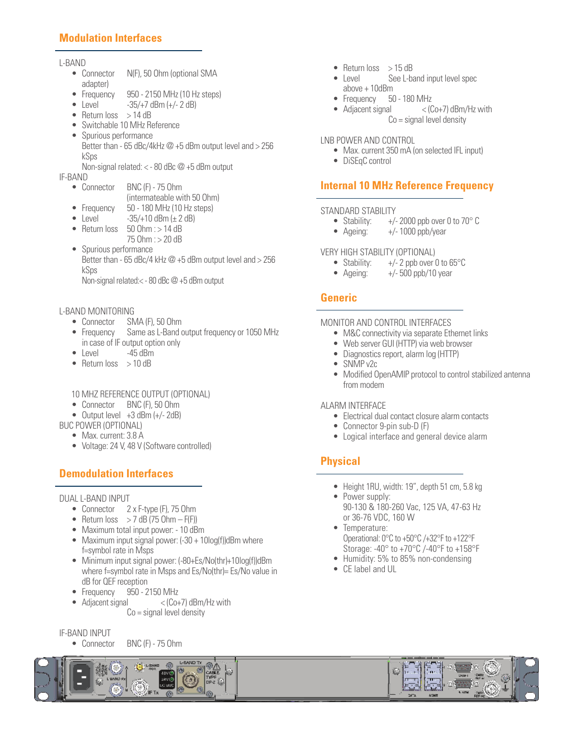## **Modulation Interfaces**

#### L-BAND

- Connector N(F), 50 Ohm (optional SMA adapter)
- Frequency  $950 2150$  MHz (10 Hz steps)<br>• Level  $-35/47$  dBm ( $+/-2$  dB)
- $-35/+7$  dBm  $(+/- 2$  dB)
- Return  $loss$  > 14 dB
- Switchable 10 MHz Reference
- Spurious performance Better than - 65 dBc/4kHz  $\omega$  +5 dBm output level and > 256 kSps Non-signal related: < - 80 dBc @ +5 dBm output

- 
- IF-BAND<br>• Connector **BNC (F) - 75 Ohm**  (intermateable with 50 Ohm)
	- Frequency 50 180 MHz (10 Hz steps)
	- Level  $-35/+10$  dBm ( $\pm 2$  dB)
	- Return loss  $50$  Ohm :  $> 14$  dB
	- 75 Ohm : > 20 dB • Spurious performance Better than - 65 dBc/4 kHz  $\omega$  +5 dBm output level and > 256 kSps

Non-signal related:< - 80 dBc @ +5 dBm output

#### L-BAND MONITORING

- Connector SMA (F), 50 Ohm
- Frequency Same as L-Band output frequency or 1050 MHz in case of IF output option only<br>Level -45 dBm
- $\bullet$  Level
- Return loss > 10 dB
- 10 MHZ REFERENCE OUTPUT (OPTIONAL)
- Connector BNC (F), 50 Ohm
- Output level  $+3$  dBm  $(+/- 2$ dB)
- BUC POWER (OPTIONAL)
	- Max. current: 3.8 A
	- Voltage: 24 V, 48 V (Software controlled)

## **Demodulation Interfaces**

#### DUAL L-BAND INPUT

- Connector 2 x F-type (F), 75 Ohm
- Return  $\cos$  > 7 dB (75 Ohm F(F))
- Maximum total input power: 10 dBm
- Maximum input signal power: (-30 + 10log(f))dBm where f=symbol rate in Msps
- Minimum input signal power: (-80+Es/No(thr)+10log(f))dBm where f=symbol rate in Msps and Es/No(thr)= Es/No value in dB for QEF reception
- Frequency 950 2150 MHz<br>• Adjacent signal < Co-
- $<$  (Co+7) dBm/Hz with  $Co =$  signal level density

#### IF-BAND INPUT

• Connector BNC (F) - 75 Ohm

- Return loss  $> 15$  dB
- Level See L-band input level spec above + 10dBm
- Frequency 50 180 MHz
- Adjacent signal < (Co+7) dBm/Hz with Co = signal level density

#### LNB POWER AND CONTROL

- Max. current 350 mA (on selected IFL input)
- DiSEqC control

## **Internal 10 MHz Reference Frequency**

## STANDARD STABILITY<br>• Stability: +/-

- $+/- 2000$  ppb over 0 to 70 $^{\circ}$  C
- Ageing:  $+/- 1000$  ppb/year

#### VERY HIGH STABILITY (OPTIONAL)

- Stability:  $+/- 2$  ppb over 0 to 65 $\degree$ C
- Ageing:  $+/- 500$  ppb/10 year

## **Generic**

#### MONITOR AND CONTROL INTERFACES

- M&C connectivity via separate Ethernet links
- Web server GUI (HTTP) via web browser
- Diagnostics report, alarm log (HTTP)
- SNMP v2c
- Modified OpenAMIP protocol to control stabilized antenna from modem

#### ALARM INTERFACE

- Electrical dual contact closure alarm contacts
- Connector 9-pin sub-D (F)
- Logical interface and general device alarm

## **Physical**

- Height 1RU, width: 19", depth 51 cm, 5.8 kg
- Power supply: 90-130 & 180-260 Vac, 125 VA, 47-63 Hz or 36-76 VDC, 160 W
- Temperature: Operational: 0°C to +50°C /+32°F to +122°F Storage: -40° to +70°C /-40°F to +158°F
- Humidity: 5% to 85% non-condensing
- CE label and UL